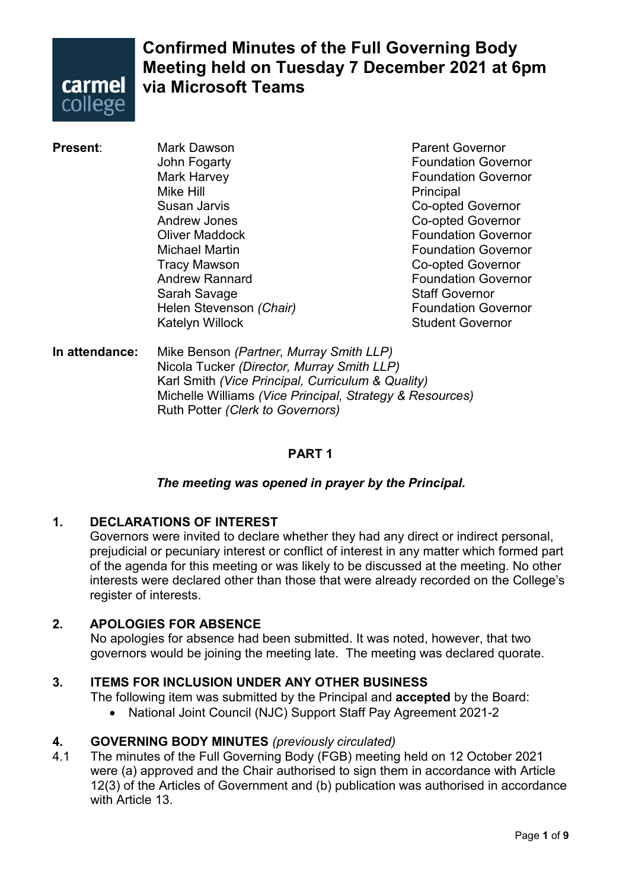

### **Confirmed Minutes of the Full Governing Body Meeting held on Tuesday 7 December 2021 at 6pm via Microsoft Teams**

John Fogarty **Foundation Governor** Mark Harvey **Foundation Governor** Mike Hill **Principal** Susan Jarvis **Co-opted Governor** Andrew Jones **Co-opted Governor Oliver Maddock Contract Contract Contract Contract Contract Contract Contract Contract Contract Contract Contract Contract Contract Contract Contract Contract Contract Contract Contract Contract Contract Contract Contract** Michael Martin Foundation Governor Tracy Mawson Co-opted Governor Sarah Savage Sarah Savage<br>Helen Stevenson *(Chair*) Staff Governor Station Governor **Helen Stevenson** *(Chair)* Katelyn Willock **Student Governor** 

**Present:** Mark Dawson **Mark Dawson** Parent Governor **Foundation Governor** 

**In attendance:** Mike Benson *(Partner, Murray Smith LLP)* Nicola Tucker *(Director, Murray Smith LLP)* Karl Smith *(Vice Principal, Curriculum & Quality)* Michelle Williams *(Vice Principal, Strategy & Resources)* Ruth Potter *(Clerk to Governors)*

### **PART 1**

#### *The meeting was opened in prayer by the Principal.*

#### **1. DECLARATIONS OF INTEREST**

Governors were invited to declare whether they had any direct or indirect personal, prejudicial or pecuniary interest or conflict of interest in any matter which formed part of the agenda for this meeting or was likely to be discussed at the meeting. No other interests were declared other than those that were already recorded on the College's register of interests.

#### **2. APOLOGIES FOR ABSENCE**

No apologies for absence had been submitted. It was noted, however, that two governors would be joining the meeting late. The meeting was declared quorate.

#### **3. ITEMS FOR INCLUSION UNDER ANY OTHER BUSINESS**

The following item was submitted by the Principal and **accepted** by the Board:

• National Joint Council (NJC) Support Staff Pay Agreement 2021-2

#### **4. GOVERNING BODY MINUTES** *(previously circulated)*

4.1 The minutes of the Full Governing Body (FGB) meeting held on 12 October 2021 were (a) approved and the Chair authorised to sign them in accordance with Article 12(3) of the Articles of Government and (b) publication was authorised in accordance with Article 13.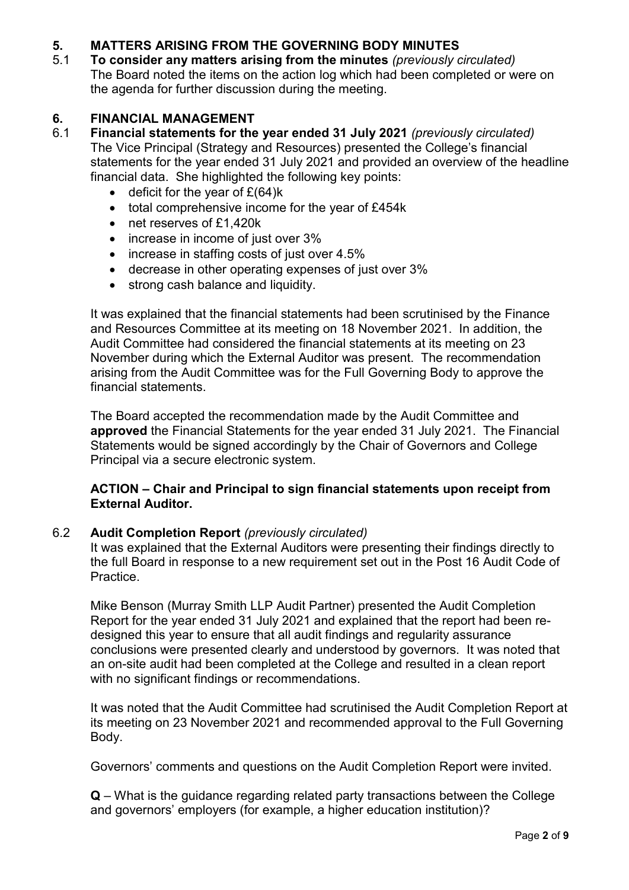# **5. MATTERS ARISING FROM THE GOVERNING BODY MINUTES**

5.1 **To consider any matters arising from the minutes** *(previously circulated)* The Board noted the items on the action log which had been completed or were on the agenda for further discussion during the meeting.

# **6. FINANCIAL MANAGEMENT**

- 6.1 **Financial statements for the year ended 31 July 2021** *(previously circulated)* The Vice Principal (Strategy and Resources) presented the College's financial statements for the year ended 31 July 2021 and provided an overview of the headline financial data. She highlighted the following key points:
	- $\bullet$  deficit for the year of £(64) $k$
	- total comprehensive income for the year of £454k
	- net reserves of £1,420k
	- increase in income of just over 3%
	- increase in staffing costs of just over 4.5%
	- decrease in other operating expenses of just over 3%
	- strong cash balance and liquidity.

It was explained that the financial statements had been scrutinised by the Finance and Resources Committee at its meeting on 18 November 2021. In addition, the Audit Committee had considered the financial statements at its meeting on 23 November during which the External Auditor was present. The recommendation arising from the Audit Committee was for the Full Governing Body to approve the financial statements.

The Board accepted the recommendation made by the Audit Committee and **approved** the Financial Statements for the year ended 31 July 2021. The Financial Statements would be signed accordingly by the Chair of Governors and College Principal via a secure electronic system.

#### **ACTION – Chair and Principal to sign financial statements upon receipt from External Auditor.**

#### 6.2 **Audit Completion Report** *(previously circulated)*

It was explained that the External Auditors were presenting their findings directly to the full Board in response to a new requirement set out in the Post 16 Audit Code of Practice.

Mike Benson (Murray Smith LLP Audit Partner) presented the Audit Completion Report for the year ended 31 July 2021 and explained that the report had been redesigned this year to ensure that all audit findings and regularity assurance conclusions were presented clearly and understood by governors. It was noted that an on-site audit had been completed at the College and resulted in a clean report with no significant findings or recommendations.

It was noted that the Audit Committee had scrutinised the Audit Completion Report at its meeting on 23 November 2021 and recommended approval to the Full Governing Body.

Governors' comments and questions on the Audit Completion Report were invited.

**Q** – What is the guidance regarding related party transactions between the College and governors' employers (for example, a higher education institution)?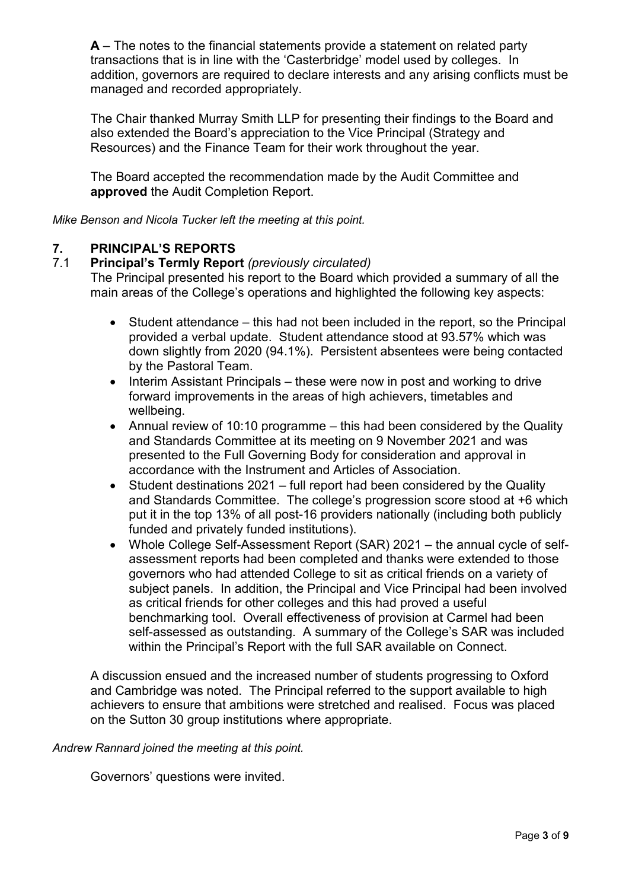**A** – The notes to the financial statements provide a statement on related party transactions that is in line with the 'Casterbridge' model used by colleges. In addition, governors are required to declare interests and any arising conflicts must be managed and recorded appropriately.

The Chair thanked Murray Smith LLP for presenting their findings to the Board and also extended the Board's appreciation to the Vice Principal (Strategy and Resources) and the Finance Team for their work throughout the year.

The Board accepted the recommendation made by the Audit Committee and **approved** the Audit Completion Report.

*Mike Benson and Nicola Tucker left the meeting at this point.*

### **7. PRINCIPAL'S REPORTS**

#### 7.1 **Principal's Termly Report** *(previously circulated)*

The Principal presented his report to the Board which provided a summary of all the main areas of the College's operations and highlighted the following key aspects:

- Student attendance this had not been included in the report, so the Principal provided a verbal update. Student attendance stood at 93.57% which was down slightly from 2020 (94.1%). Persistent absentees were being contacted by the Pastoral Team.
- Interim Assistant Principals these were now in post and working to drive forward improvements in the areas of high achievers, timetables and wellbeing.
- Annual review of 10:10 programme this had been considered by the Quality and Standards Committee at its meeting on 9 November 2021 and was presented to the Full Governing Body for consideration and approval in accordance with the Instrument and Articles of Association.
- Student destinations 2021 full report had been considered by the Quality and Standards Committee. The college's progression score stood at +6 which put it in the top 13% of all post-16 providers nationally (including both publicly funded and privately funded institutions).
- Whole College Self-Assessment Report (SAR) 2021 the annual cycle of selfassessment reports had been completed and thanks were extended to those governors who had attended College to sit as critical friends on a variety of subject panels. In addition, the Principal and Vice Principal had been involved as critical friends for other colleges and this had proved a useful benchmarking tool. Overall effectiveness of provision at Carmel had been self-assessed as outstanding. A summary of the College's SAR was included within the Principal's Report with the full SAR available on Connect.

A discussion ensued and the increased number of students progressing to Oxford and Cambridge was noted. The Principal referred to the support available to high achievers to ensure that ambitions were stretched and realised. Focus was placed on the Sutton 30 group institutions where appropriate.

#### *Andrew Rannard joined the meeting at this point.*

Governors' questions were invited.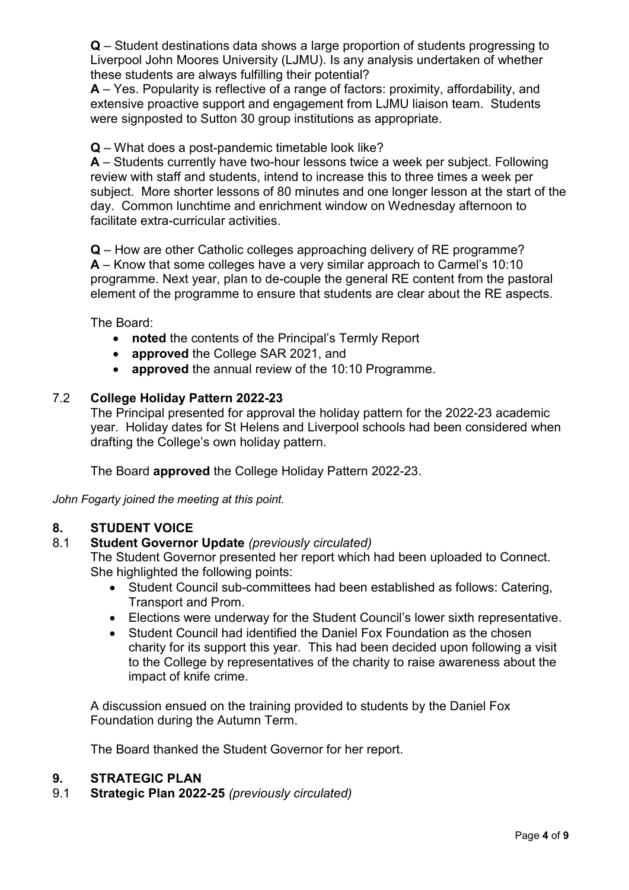**Q** – Student destinations data shows a large proportion of students progressing to Liverpool John Moores University (LJMU). Is any analysis undertaken of whether these students are always fulfilling their potential?

**A** – Yes. Popularity is reflective of a range of factors: proximity, affordability, and extensive proactive support and engagement from LJMU liaison team. Students were signposted to Sutton 30 group institutions as appropriate.

#### **Q** – What does a post-pandemic timetable look like?

**A** – Students currently have two-hour lessons twice a week per subject. Following review with staff and students, intend to increase this to three times a week per subject. More shorter lessons of 80 minutes and one longer lesson at the start of the day. Common lunchtime and enrichment window on Wednesday afternoon to facilitate extra-curricular activities.

**Q** – How are other Catholic colleges approaching delivery of RE programme? **A** – Know that some colleges have a very similar approach to Carmel's 10:10 programme. Next year, plan to de-couple the general RE content from the pastoral element of the programme to ensure that students are clear about the RE aspects.

The Board:

- **noted** the contents of the Principal's Termly Report
- **approved** the College SAR 2021, and
- **approved** the annual review of the 10:10 Programme.

#### 7.2 **College Holiday Pattern 2022-23**

The Principal presented for approval the holiday pattern for the 2022-23 academic year. Holiday dates for St Helens and Liverpool schools had been considered when drafting the College's own holiday pattern.

The Board **approved** the College Holiday Pattern 2022-23.

*John Fogarty joined the meeting at this point.*

#### **8. STUDENT VOICE**

#### 8.1 **Student Governor Update** *(previously circulated)*

The Student Governor presented her report which had been uploaded to Connect. She highlighted the following points:

- Student Council sub-committees had been established as follows: Catering, Transport and Prom.
- Elections were underway for the Student Council's lower sixth representative.
- Student Council had identified the Daniel Fox Foundation as the chosen charity for its support this year. This had been decided upon following a visit to the College by representatives of the charity to raise awareness about the impact of knife crime.

A discussion ensued on the training provided to students by the Daniel Fox Foundation during the Autumn Term.

The Board thanked the Student Governor for her report.

#### **9. STRATEGIC PLAN**

9.1 **Strategic Plan 2022-25** *(previously circulated)*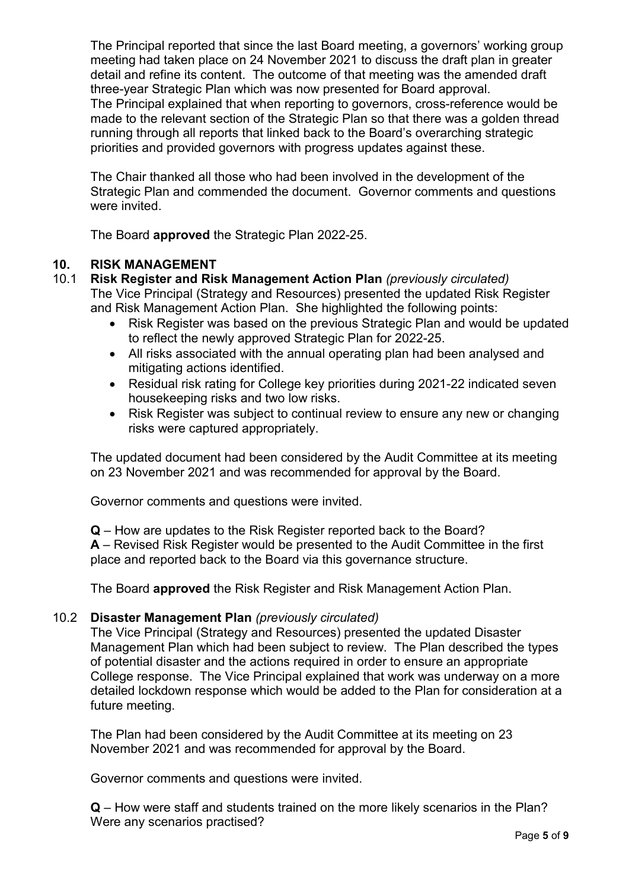The Principal reported that since the last Board meeting, a governors' working group meeting had taken place on 24 November 2021 to discuss the draft plan in greater detail and refine its content. The outcome of that meeting was the amended draft three-year Strategic Plan which was now presented for Board approval. The Principal explained that when reporting to governors, cross-reference would be made to the relevant section of the Strategic Plan so that there was a golden thread running through all reports that linked back to the Board's overarching strategic priorities and provided governors with progress updates against these.

The Chair thanked all those who had been involved in the development of the Strategic Plan and commended the document. Governor comments and questions were invited.

The Board **approved** the Strategic Plan 2022-25.

#### **10. RISK MANAGEMENT**

#### 10.1 **Risk Register and Risk Management Action Plan** *(previously circulated)* The Vice Principal (Strategy and Resources) presented the updated Risk Register and Risk Management Action Plan. She highlighted the following points:

- Risk Register was based on the previous Strategic Plan and would be updated to reflect the newly approved Strategic Plan for 2022-25.
- All risks associated with the annual operating plan had been analysed and mitigating actions identified.
- Residual risk rating for College key priorities during 2021-22 indicated seven housekeeping risks and two low risks.
- Risk Register was subject to continual review to ensure any new or changing risks were captured appropriately.

The updated document had been considered by the Audit Committee at its meeting on 23 November 2021 and was recommended for approval by the Board.

Governor comments and questions were invited.

**Q** – How are updates to the Risk Register reported back to the Board? **A** – Revised Risk Register would be presented to the Audit Committee in the first place and reported back to the Board via this governance structure.

The Board **approved** the Risk Register and Risk Management Action Plan.

#### 10.2 **Disaster Management Plan** *(previously circulated)*

The Vice Principal (Strategy and Resources) presented the updated Disaster Management Plan which had been subject to review. The Plan described the types of potential disaster and the actions required in order to ensure an appropriate College response. The Vice Principal explained that work was underway on a more detailed lockdown response which would be added to the Plan for consideration at a future meeting.

The Plan had been considered by the Audit Committee at its meeting on 23 November 2021 and was recommended for approval by the Board.

Governor comments and questions were invited.

**Q** – How were staff and students trained on the more likely scenarios in the Plan? Were any scenarios practised?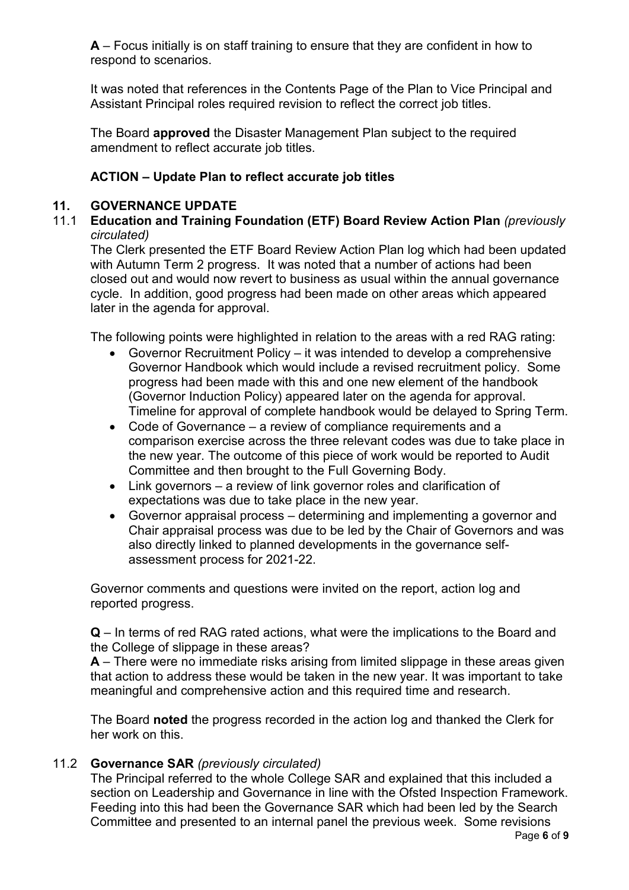**A** – Focus initially is on staff training to ensure that they are confident in how to respond to scenarios.

It was noted that references in the Contents Page of the Plan to Vice Principal and Assistant Principal roles required revision to reflect the correct job titles.

The Board **approved** the Disaster Management Plan subject to the required amendment to reflect accurate job titles.

#### **ACTION – Update Plan to reflect accurate job titles**

#### **11. GOVERNANCE UPDATE**

11.1 **Education and Training Foundation (ETF) Board Review Action Plan** *(previously circulated)*

The Clerk presented the ETF Board Review Action Plan log which had been updated with Autumn Term 2 progress. It was noted that a number of actions had been closed out and would now revert to business as usual within the annual governance cycle. In addition, good progress had been made on other areas which appeared later in the agenda for approval.

The following points were highlighted in relation to the areas with a red RAG rating:

- Governor Recruitment Policy it was intended to develop a comprehensive Governor Handbook which would include a revised recruitment policy. Some progress had been made with this and one new element of the handbook (Governor Induction Policy) appeared later on the agenda for approval. Timeline for approval of complete handbook would be delayed to Spring Term.
- Code of Governance a review of compliance requirements and a comparison exercise across the three relevant codes was due to take place in the new year. The outcome of this piece of work would be reported to Audit Committee and then brought to the Full Governing Body.
- Link governors a review of link governor roles and clarification of expectations was due to take place in the new year.
- Governor appraisal process determining and implementing a governor and Chair appraisal process was due to be led by the Chair of Governors and was also directly linked to planned developments in the governance selfassessment process for 2021-22.

Governor comments and questions were invited on the report, action log and reported progress.

**Q** – In terms of red RAG rated actions, what were the implications to the Board and the College of slippage in these areas?

**A** – There were no immediate risks arising from limited slippage in these areas given that action to address these would be taken in the new year. It was important to take meaningful and comprehensive action and this required time and research.

The Board **noted** the progress recorded in the action log and thanked the Clerk for her work on this.

#### 11.2 **Governance SAR** *(previously circulated)*

The Principal referred to the whole College SAR and explained that this included a section on Leadership and Governance in line with the Ofsted Inspection Framework. Feeding into this had been the Governance SAR which had been led by the Search Committee and presented to an internal panel the previous week. Some revisions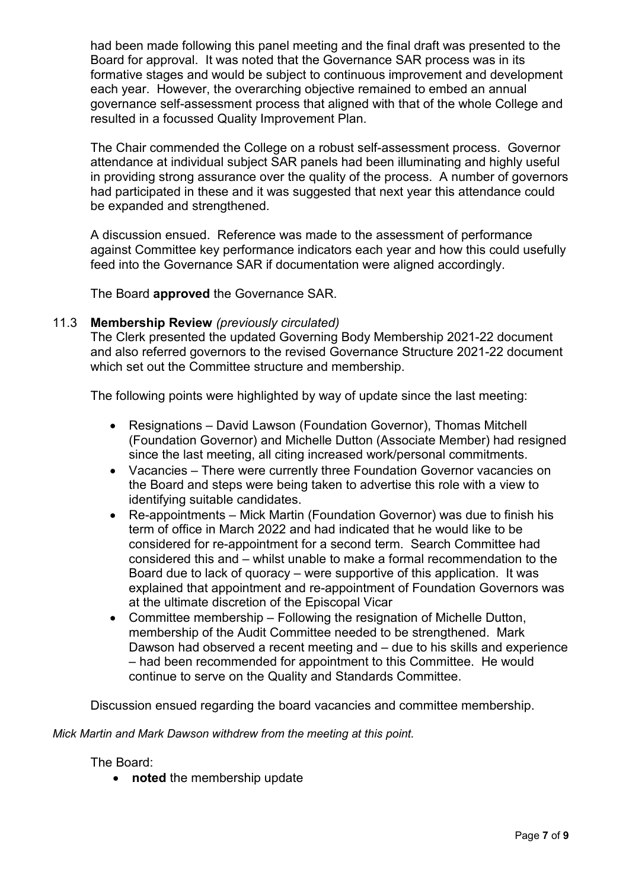had been made following this panel meeting and the final draft was presented to the Board for approval. It was noted that the Governance SAR process was in its formative stages and would be subject to continuous improvement and development each year. However, the overarching objective remained to embed an annual governance self-assessment process that aligned with that of the whole College and resulted in a focussed Quality Improvement Plan.

The Chair commended the College on a robust self-assessment process. Governor attendance at individual subject SAR panels had been illuminating and highly useful in providing strong assurance over the quality of the process. A number of governors had participated in these and it was suggested that next year this attendance could be expanded and strengthened.

A discussion ensued. Reference was made to the assessment of performance against Committee key performance indicators each year and how this could usefully feed into the Governance SAR if documentation were aligned accordingly.

The Board **approved** the Governance SAR.

#### 11.3 **Membership Review** *(previously circulated)*

The Clerk presented the updated Governing Body Membership 2021-22 document and also referred governors to the revised Governance Structure 2021-22 document which set out the Committee structure and membership.

The following points were highlighted by way of update since the last meeting:

- Resignations David Lawson (Foundation Governor), Thomas Mitchell (Foundation Governor) and Michelle Dutton (Associate Member) had resigned since the last meeting, all citing increased work/personal commitments.
- Vacancies There were currently three Foundation Governor vacancies on the Board and steps were being taken to advertise this role with a view to identifying suitable candidates.
- Re-appointments Mick Martin (Foundation Governor) was due to finish his term of office in March 2022 and had indicated that he would like to be considered for re-appointment for a second term. Search Committee had considered this and – whilst unable to make a formal recommendation to the Board due to lack of quoracy – were supportive of this application. It was explained that appointment and re-appointment of Foundation Governors was at the ultimate discretion of the Episcopal Vicar
- Committee membership Following the resignation of Michelle Dutton, membership of the Audit Committee needed to be strengthened. Mark Dawson had observed a recent meeting and – due to his skills and experience – had been recommended for appointment to this Committee. He would continue to serve on the Quality and Standards Committee.

Discussion ensued regarding the board vacancies and committee membership.

*Mick Martin and Mark Dawson withdrew from the meeting at this point.*

The Board:

• **noted** the membership update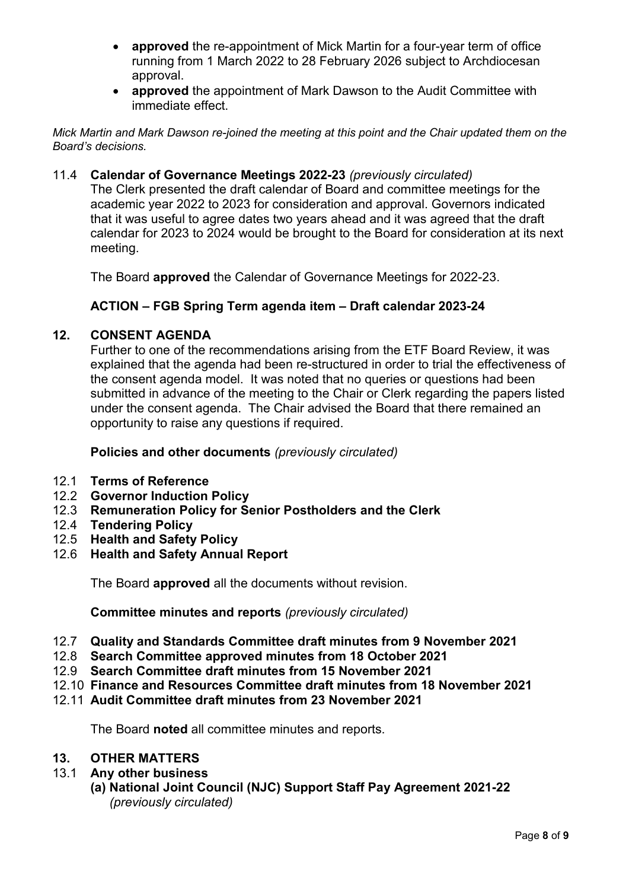- **approved** the re-appointment of Mick Martin for a four-year term of office running from 1 March 2022 to 28 February 2026 subject to Archdiocesan approval.
- **approved** the appointment of Mark Dawson to the Audit Committee with immediate effect.

*Mick Martin and Mark Dawson re-joined the meeting at this point and the Chair updated them on the Board's decisions.*

#### 11.4 **Calendar of Governance Meetings 2022-23** *(previously circulated)*

The Clerk presented the draft calendar of Board and committee meetings for the academic year 2022 to 2023 for consideration and approval. Governors indicated that it was useful to agree dates two years ahead and it was agreed that the draft calendar for 2023 to 2024 would be brought to the Board for consideration at its next meeting.

The Board **approved** the Calendar of Governance Meetings for 2022-23.

#### **ACTION – FGB Spring Term agenda item – Draft calendar 2023-24**

#### **12. CONSENT AGENDA**

Further to one of the recommendations arising from the ETF Board Review, it was explained that the agenda had been re-structured in order to trial the effectiveness of the consent agenda model. It was noted that no queries or questions had been submitted in advance of the meeting to the Chair or Clerk regarding the papers listed under the consent agenda. The Chair advised the Board that there remained an opportunity to raise any questions if required.

#### **Policies and other documents** *(previously circulated)*

- 12.1 **Terms of Reference**
- 12.2 **Governor Induction Policy**
- 12.3 **Remuneration Policy for Senior Postholders and the Clerk**
- 12.4 **Tendering Policy**
- 12.5 **Health and Safety Policy**
- 12.6 **Health and Safety Annual Report**

The Board **approved** all the documents without revision.

**Committee minutes and reports** *(previously circulated)*

- 12.7 **Quality and Standards Committee draft minutes from 9 November 2021**
- 12.8 **Search Committee approved minutes from 18 October 2021**
- 12.9 **Search Committee draft minutes from 15 November 2021**
- 12.10 **Finance and Resources Committee draft minutes from 18 November 2021**
- 12.11 **Audit Committee draft minutes from 23 November 2021**

The Board **noted** all committee minutes and reports.

#### **13. OTHER MATTERS**

- 13.1 **Any other business**
	- **(a) National Joint Council (NJC) Support Staff Pay Agreement 2021-22**  *(previously circulated)*